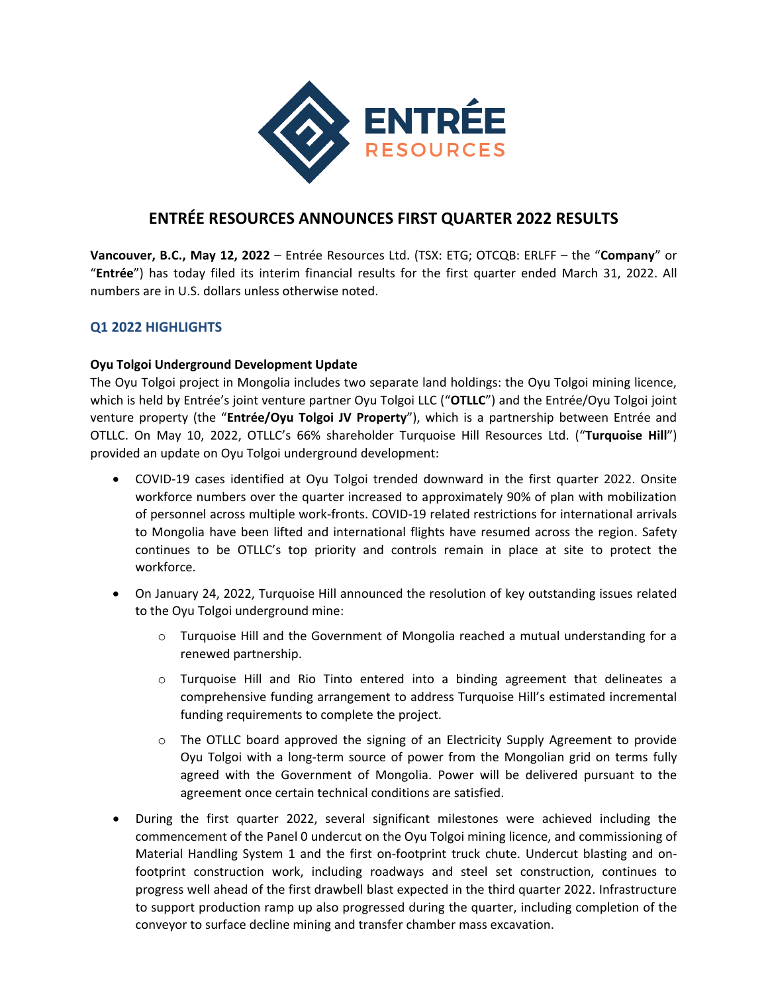

# **ENTRÉE RESOURCES ANNOUNCES FIRST QUARTER 2022 RESULTS**

**Vancouver, B.C., May 12, 2022** – Entrée Resources Ltd. (TSX: ETG; OTCQB: ERLFF – the "**Company**" or "**Entrée**") has today filed its interim financial results for the first quarter ended March 31, 2022. All numbers are in U.S. dollars unless otherwise noted.

# **Q1 2022 HIGHLIGHTS**

## **Oyu Tolgoi Underground Development Update**

The Oyu Tolgoi project in Mongolia includes two separate land holdings: the Oyu Tolgoi mining licence, which is held by Entrée's joint venture partner Oyu Tolgoi LLC ("**OTLLC**") and the Entrée/Oyu Tolgoi joint venture property (the "**Entrée/Oyu Tolgoi JV Property**"), which is a partnership between Entrée and OTLLC. On May 10, 2022, OTLLC's 66% shareholder Turquoise Hill Resources Ltd. ("**Turquoise Hill**") provided an update on Oyu Tolgoi underground development:

- COVID-19 cases identified at Oyu Tolgoi trended downward in the first quarter 2022. Onsite workforce numbers over the quarter increased to approximately 90% of plan with mobilization of personnel across multiple work-fronts. COVID-19 related restrictions for international arrivals to Mongolia have been lifted and international flights have resumed across the region. Safety continues to be OTLLC's top priority and controls remain in place at site to protect the workforce.
- On January 24, 2022, Turquoise Hill announced the resolution of key outstanding issues related to the Oyu Tolgoi underground mine:
	- $\circ$  Turquoise Hill and the Government of Mongolia reached a mutual understanding for a renewed partnership.
	- o Turquoise Hill and Rio Tinto entered into a binding agreement that delineates a comprehensive funding arrangement to address Turquoise Hill's estimated incremental funding requirements to complete the project.
	- $\circ$  The OTLLC board approved the signing of an Electricity Supply Agreement to provide Oyu Tolgoi with a long-term source of power from the Mongolian grid on terms fully agreed with the Government of Mongolia. Power will be delivered pursuant to the agreement once certain technical conditions are satisfied.
- During the first quarter 2022, several significant milestones were achieved including the commencement of the Panel 0 undercut on the Oyu Tolgoi mining licence, and commissioning of Material Handling System 1 and the first on-footprint truck chute. Undercut blasting and onfootprint construction work, including roadways and steel set construction, continues to progress well ahead of the first drawbell blast expected in the third quarter 2022. Infrastructure to support production ramp up also progressed during the quarter, including completion of the conveyor to surface decline mining and transfer chamber mass excavation.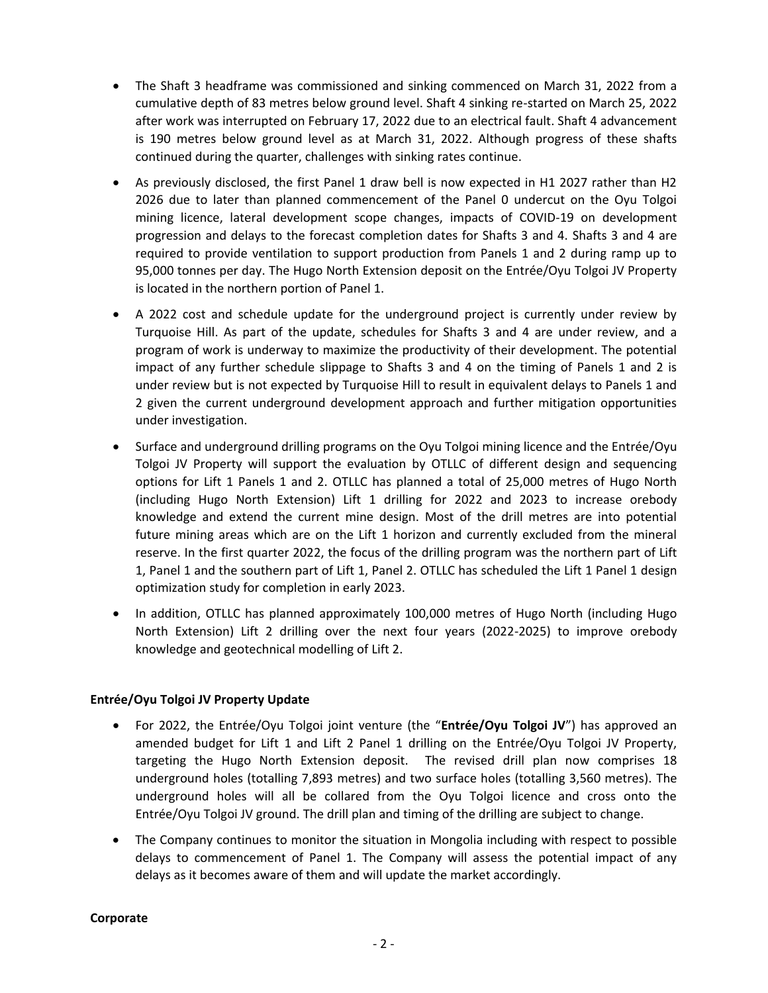- The Shaft 3 headframe was commissioned and sinking commenced on March 31, 2022 from a cumulative depth of 83 metres below ground level. Shaft 4 sinking re-started on March 25, 2022 after work was interrupted on February 17, 2022 due to an electrical fault. Shaft 4 advancement is 190 metres below ground level as at March 31, 2022. Although progress of these shafts continued during the quarter, challenges with sinking rates continue.
- As previously disclosed, the first Panel 1 draw bell is now expected in H1 2027 rather than H2 2026 due to later than planned commencement of the Panel 0 undercut on the Oyu Tolgoi mining licence, lateral development scope changes, impacts of COVID-19 on development progression and delays to the forecast completion dates for Shafts 3 and 4. Shafts 3 and 4 are required to provide ventilation to support production from Panels 1 and 2 during ramp up to 95,000 tonnes per day. The Hugo North Extension deposit on the Entrée/Oyu Tolgoi JV Property is located in the northern portion of Panel 1.
- A 2022 cost and schedule update for the underground project is currently under review by Turquoise Hill. As part of the update, schedules for Shafts 3 and 4 are under review, and a program of work is underway to maximize the productivity of their development. The potential impact of any further schedule slippage to Shafts 3 and 4 on the timing of Panels 1 and 2 is under review but is not expected by Turquoise Hill to result in equivalent delays to Panels 1 and 2 given the current underground development approach and further mitigation opportunities under investigation.
- Surface and underground drilling programs on the Oyu Tolgoi mining licence and the Entrée/Oyu Tolgoi JV Property will support the evaluation by OTLLC of different design and sequencing options for Lift 1 Panels 1 and 2. OTLLC has planned a total of 25,000 metres of Hugo North (including Hugo North Extension) Lift 1 drilling for 2022 and 2023 to increase orebody knowledge and extend the current mine design. Most of the drill metres are into potential future mining areas which are on the Lift 1 horizon and currently excluded from the mineral reserve. In the first quarter 2022, the focus of the drilling program was the northern part of Lift 1, Panel 1 and the southern part of Lift 1, Panel 2. OTLLC has scheduled the Lift 1 Panel 1 design optimization study for completion in early 2023.
- In addition, OTLLC has planned approximately 100,000 metres of Hugo North (including Hugo North Extension) Lift 2 drilling over the next four years (2022-2025) to improve orebody knowledge and geotechnical modelling of Lift 2.

## **Entrée/Oyu Tolgoi JV Property Update**

- For 2022, the Entrée/Oyu Tolgoi joint venture (the "**Entrée/Oyu Tolgoi JV**") has approved an amended budget for Lift 1 and Lift 2 Panel 1 drilling on the Entrée/Oyu Tolgoi JV Property, targeting the Hugo North Extension deposit. The revised drill plan now comprises 18 underground holes (totalling 7,893 metres) and two surface holes (totalling 3,560 metres). The underground holes will all be collared from the Oyu Tolgoi licence and cross onto the Entrée/Oyu Tolgoi JV ground. The drill plan and timing of the drilling are subject to change.
- The Company continues to monitor the situation in Mongolia including with respect to possible delays to commencement of Panel 1. The Company will assess the potential impact of any delays as it becomes aware of them and will update the market accordingly.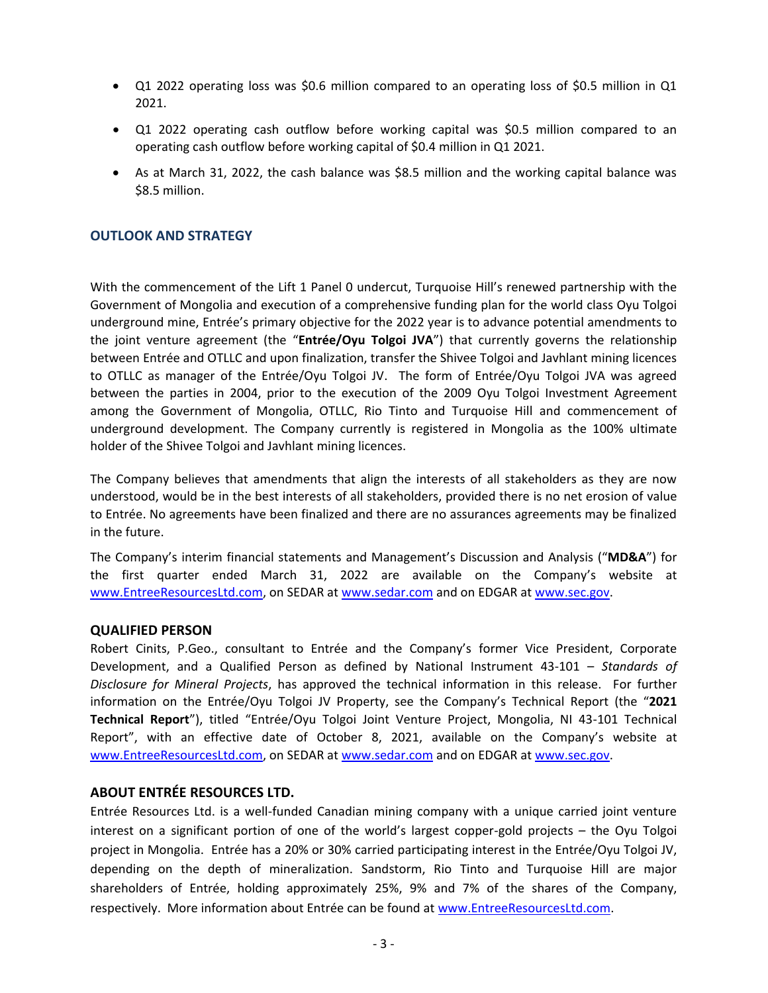- Q1 2022 operating loss was \$0.6 million compared to an operating loss of \$0.5 million in Q1 2021.
- Q1 2022 operating cash outflow before working capital was \$0.5 million compared to an operating cash outflow before working capital of \$0.4 million in Q1 2021.
- As at March 31, 2022, the cash balance was \$8.5 million and the working capital balance was \$8.5 million.

#### **OUTLOOK AND STRATEGY**

With the commencement of the Lift 1 Panel 0 undercut, Turquoise Hill's renewed partnership with the Government of Mongolia and execution of a comprehensive funding plan for the world class Oyu Tolgoi underground mine, Entrée's primary objective for the 2022 year is to advance potential amendments to the joint venture agreement (the "**Entrée/Oyu Tolgoi JVA**") that currently governs the relationship between Entrée and OTLLC and upon finalization, transfer the Shivee Tolgoi and Javhlant mining licences to OTLLC as manager of the Entrée/Oyu Tolgoi JV. The form of Entrée/Oyu Tolgoi JVA was agreed between the parties in 2004, prior to the execution of the 2009 Oyu Tolgoi Investment Agreement among the Government of Mongolia, OTLLC, Rio Tinto and Turquoise Hill and commencement of underground development. The Company currently is registered in Mongolia as the 100% ultimate holder of the Shivee Tolgoi and Javhlant mining licences.

The Company believes that amendments that align the interests of all stakeholders as they are now understood, would be in the best interests of all stakeholders, provided there is no net erosion of value to Entrée. No agreements have been finalized and there are no assurances agreements may be finalized in the future.

The Company's interim financial statements and Management's Discussion and Analysis ("**MD&A**") for the first quarter ended March 31, 2022 are available on the Company's website at [www.EntreeResourcesLtd.com,](http://www.entreeresourcesltd.com/) on SEDAR at [www.sedar.com](http://www.sedar.com/) and on EDGAR a[t www.sec.gov.](http://www.sec.gov/)

#### **QUALIFIED PERSON**

Robert Cinits, P.Geo., consultant to Entrée and the Company's former Vice President, Corporate Development, and a Qualified Person as defined by National Instrument 43-101 – *Standards of Disclosure for Mineral Projects*, has approved the technical information in this release. For further information on the Entrée/Oyu Tolgoi JV Property, see the Company's Technical Report (the "**2021 Technical Report**"), titled "Entrée/Oyu Tolgoi Joint Venture Project, Mongolia, NI 43-101 Technical Report", with an effective date of October 8, 2021, available on the Company's website at [www.EntreeResourcesLtd.com,](http://www.entreeresourcesltd.com/) on SEDAR at [www.sedar.com](http://www.sedar.com/) and on EDGAR a[t www.sec.gov.](http://www.sec.gov/)

#### **ABOUT ENTRÉE RESOURCES LTD.**

Entrée Resources Ltd. is a well-funded Canadian mining company with a unique carried joint venture interest on a significant portion of one of the world's largest copper-gold projects – the Oyu Tolgoi project in Mongolia. Entrée has a 20% or 30% carried participating interest in the Entrée/Oyu Tolgoi JV, depending on the depth of mineralization. Sandstorm, Rio Tinto and Turquoise Hill are major shareholders of Entrée, holding approximately 25%, 9% and 7% of the shares of the Company, respectively. More information about Entrée can be found at [www.EntreeResourcesLtd.com.](http://www.entreeresourcesltd.com/)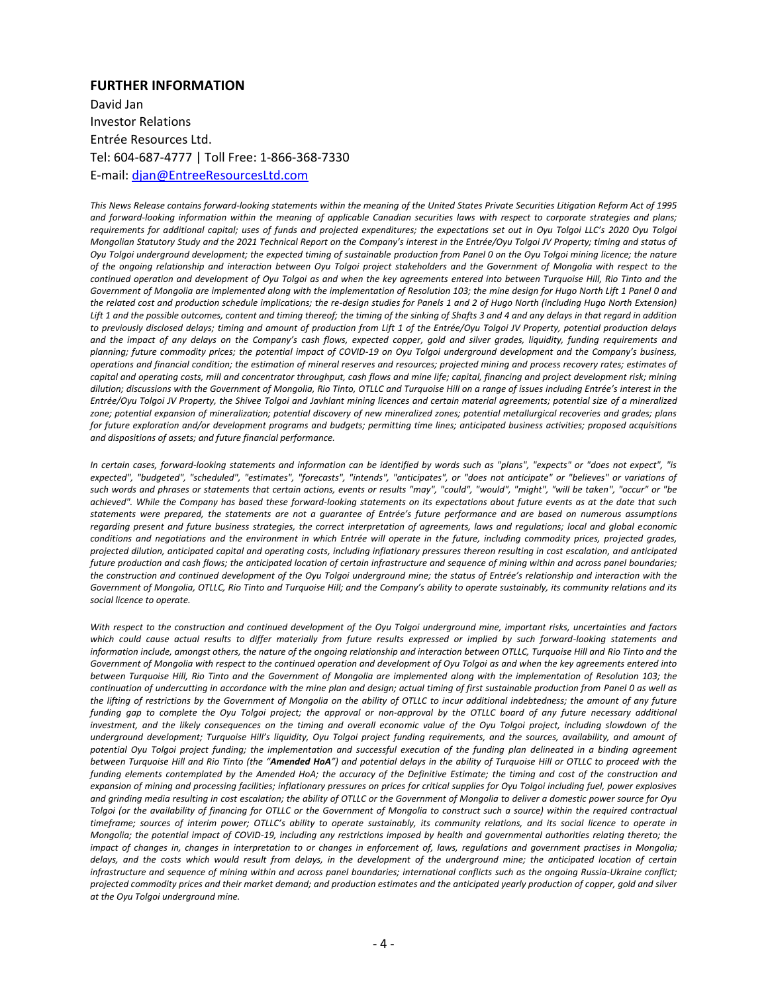#### **FURTHER INFORMATION**

David Jan Investor Relations Entrée Resources Ltd. Tel: 604-687-4777 | Toll Free: 1-866-368-7330 E-mail: [djan@EntreeResourcesLtd.com](mailto:djan@EntreeResourcesLtd.com)

*This News Release contains forward-looking statements within the meaning of the United States Private Securities Litigation Reform Act of 1995 and forward-looking information within the meaning of applicable Canadian securities laws with respect to corporate strategies and plans; requirements for additional capital; uses of funds and projected expenditures; the expectations set out in Oyu Tolgoi LLC's 2020 Oyu Tolgoi Mongolian Statutory Study and the 2021 Technical Report on the Company's interest in the Entrée/Oyu Tolgoi JV Property; timing and status of Oyu Tolgoi underground development; the expected timing of sustainable production from Panel 0 on the Oyu Tolgoi mining licence; the nature of the ongoing relationship and interaction between Oyu Tolgoi project stakeholders and the Government of Mongolia with respect to the continued operation and development of Oyu Tolgoi as and when the key agreements entered into between Turquoise Hill, Rio Tinto and the Government of Mongolia are implemented along with the implementation of Resolution 103; the mine design for Hugo North Lift 1 Panel 0 and the related cost and production schedule implications; the re-design studies for Panels 1 and 2 of Hugo North (including Hugo North Extension) Lift 1 and the possible outcomes, content and timing thereof; the timing of the sinking of Shafts 3 and 4 and any delays in that regard in addition to previously disclosed delays; timing and amount of production from Lift 1 of the Entrée/Oyu Tolgoi JV Property, potential production delays and the impact of any delays on the Company's cash flows, expected copper, gold and silver grades, liquidity, funding requirements and planning; future commodity prices; the potential impact of COVID-19 on Oyu Tolgoi underground development and the Company's business, operations and financial condition; the estimation of mineral reserves and resources; projected mining and process recovery rates; estimates of capital and operating costs, mill and concentrator throughput, cash flows and mine life; capital, financing and project development risk; mining dilution; discussions with the Government of Mongolia, Rio Tinto, OTLLC and Turquoise Hill on a range of issues including Entrée's interest in the Entrée/Oyu Tolgoi JV Property, the Shivee Tolgoi and Javhlant mining licences and certain material agreements; potential size of a mineralized zone; potential expansion of mineralization; potential discovery of new mineralized zones; potential metallurgical recoveries and grades; plans for future exploration and/or development programs and budgets; permitting time lines; anticipated business activities; proposed acquisitions and dispositions of assets; and future financial performance.*

*In certain cases, forward-looking statements and information can be identified by words such as "plans", "expects" or "does not expect", "is expected", "budgeted", "scheduled", "estimates", "forecasts", "intends", "anticipates", or "does not anticipate" or "believes" or variations of such words and phrases or statements that certain actions, events or results "may", "could", "would", "might", "will be taken", "occur" or "be achieved". While the Company has based these forward-looking statements on its expectations about future events as at the date that such statements were prepared, the statements are not a guarantee of Entrée's future performance and are based on numerous assumptions regarding present and future business strategies, the correct interpretation of agreements, laws and regulations; local and global economic conditions and negotiations and the environment in which Entrée will operate in the future, including commodity prices, projected grades, projected dilution, anticipated capital and operating costs, including inflationary pressures thereon resulting in cost escalation, and anticipated future production and cash flows; the anticipated location of certain infrastructure and sequence of mining within and across panel boundaries; the construction and continued development of the Oyu Tolgoi underground mine; the status of Entrée's relationship and interaction with the*  Government of Mongolia, OTLLC, Rio Tinto and Turquoise Hill; and the Company's ability to operate sustainably, its community relations and its *social licence to operate.* 

*With respect to the construction and continued development of the Oyu Tolgoi underground mine, important risks, uncertainties and factors which could cause actual results to differ materially from future results expressed or implied by such forward-looking statements and information include, amongst others, the nature of the ongoing relationship and interaction between OTLLC, Turquoise Hill and Rio Tinto and the Government of Mongolia with respect to the continued operation and development of Oyu Tolgoi as and when the key agreements entered into between Turquoise Hill, Rio Tinto and the Government of Mongolia are implemented along with the implementation of Resolution 103; the continuation of undercutting in accordance with the mine plan and design; actual timing of first sustainable production from Panel 0 as well as the lifting of restrictions by the Government of Mongolia on the ability of OTLLC to incur additional indebtedness; the amount of any future*  funding gap to complete the Oyu Tolgoi project; the approval or non-approval by the OTLLC board of any future necessary additional investment, and the likely consequences on the timing and overall economic value of the Oyu Tolgoi project, including slowdown of the *underground development; Turquoise Hill's liquidity, Oyu Tolgoi project funding requirements, and the sources, availability, and amount of potential Oyu Tolgoi project funding; the implementation and successful execution of the funding plan delineated in a binding agreement between Turquoise Hill and Rio Tinto (the "Amended HoA") and potential delays in the ability of Turquoise Hill or OTLLC to proceed with the funding elements contemplated by the Amended HoA; the accuracy of the Definitive Estimate; the timing and cost of the construction and expansion of mining and processing facilities; inflationary pressures on prices for critical supplies for Oyu Tolgoi including fuel, power explosives and grinding media resulting in cost escalation; the ability of OTLLC or the Government of Mongolia to deliver a domestic power source for Oyu Tolgoi (or the availability of financing for OTLLC or the Government of Mongolia to construct such a source) within the required contractual timeframe; sources of interim power; OTLLC's ability to operate sustainably, its community relations, and its social licence to operate in Mongolia; the potential impact of COVID-19, including any restrictions imposed by health and governmental authorities relating thereto; the impact of changes in, changes in interpretation to or changes in enforcement of, laws, regulations and government practises in Mongolia; delays, and the costs which would result from delays, in the development of the underground mine; the anticipated location of certain infrastructure and sequence of mining within and across panel boundaries; international conflicts such as the ongoing Russia-Ukraine conflict; projected commodity prices and their market demand; and production estimates and the anticipated yearly production of copper, gold and silver at the Oyu Tolgoi underground mine.*